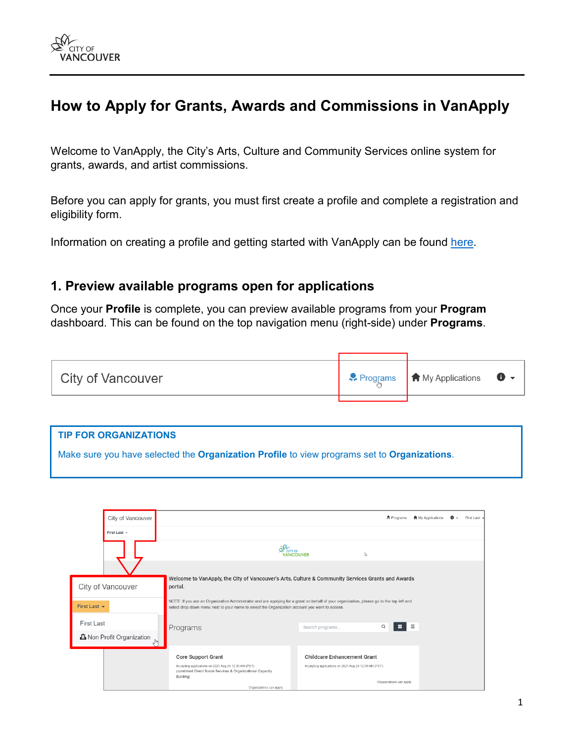

# **How to Apply for Grants, Awards and Commissions in VanApply**

Welcome to VanApply, the City's Arts, Culture and Community Services online system for grants, awards, and artist commissions.

Before you can apply for grants, you must first create a profile and complete a registration and eligibility form.

Information on creating a profile and getting started with VanApply can be found [here.](https://vancouver.ca/people-programs/vanapply-online-grant-application-system.aspx)

### **1. Preview available programs open for applications**

Once your **Profile** is complete, you can preview available programs from your **Program** dashboard. This can be found on the top navigation menu (right-side) under **Programs**.



| <b>TIP FOR ORGANIZATIONS</b>                                                                |  |
|---------------------------------------------------------------------------------------------|--|
| Make sure you have selected the Organization Profile to view programs set to Organizations. |  |

|                   | City of Vancouver                                            |                                                                                                                                                                                                                                             |                                                      | & Programs               | <b>台</b> My Applications | $\bullet$ . | First Last - |
|-------------------|--------------------------------------------------------------|---------------------------------------------------------------------------------------------------------------------------------------------------------------------------------------------------------------------------------------------|------------------------------------------------------|--------------------------|--------------------------|-------------|--------------|
|                   | First Last +                                                 |                                                                                                                                                                                                                                             |                                                      |                          |                          |             |              |
|                   |                                                              | CITY OF                                                                                                                                                                                                                                     | <b>NCOLIVER</b>                                      | ľ,                       |                          |             |              |
|                   |                                                              |                                                                                                                                                                                                                                             |                                                      |                          |                          |             |              |
|                   | City of Vancouver                                            | Welcome to VanApply, the City of Vancouver's Arts, Culture & Community Services Grants and Awards<br>portal.                                                                                                                                |                                                      |                          |                          |             |              |
| First Last $\sim$ |                                                              | NOTE: If you are an Organization Administrator and are applying for a grant on behalf of your organization, please go to the top left and<br>select drop down menu next to your name to select the Organization account you want to access. |                                                      |                          |                          |             |              |
| First Last        |                                                              | Programs                                                                                                                                                                                                                                    | Search programs                                      | H.<br>$\alpha$           | $\equiv$                 |             |              |
|                   | <b>品</b> Non Profit Organization<br>$\int_{0}^{\frac{1}{2}}$ |                                                                                                                                                                                                                                             |                                                      |                          |                          |             |              |
|                   |                                                              | <b>Core Support Grant</b>                                                                                                                                                                                                                   | <b>Childcare Enhancement Grant</b>                   |                          |                          |             |              |
|                   |                                                              | Accepting applications on 2021 Aug 24 12:00 AM (PDT)<br>(combined Direct Social Services & Organizational Capacity<br>Building)                                                                                                             | Accepting applications on 2021 Aug 24 12:00 AM (PDT) |                          |                          |             |              |
|                   |                                                              | Organizations can apply.                                                                                                                                                                                                                    |                                                      | Organizations can apply. |                          |             |              |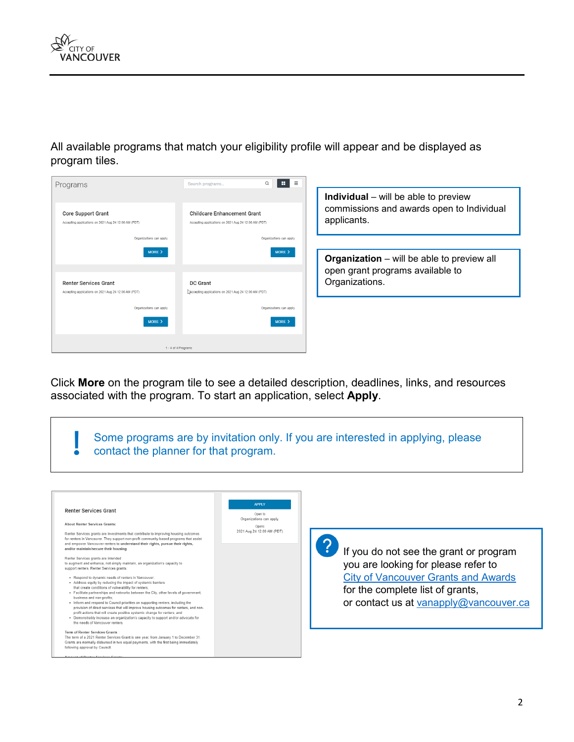All available programs that match your eligibility profile will appear and be displayed as program tiles.



**Individual** – will be able to preview commissions and awards open to Individual applicants.

**Organization** – will be able to preview all open grant programs available to Organizations.

Click **More** on the program tile to see a detailed description, deadlines, links, and resources associated with the program. To start an application, select **Apply**.

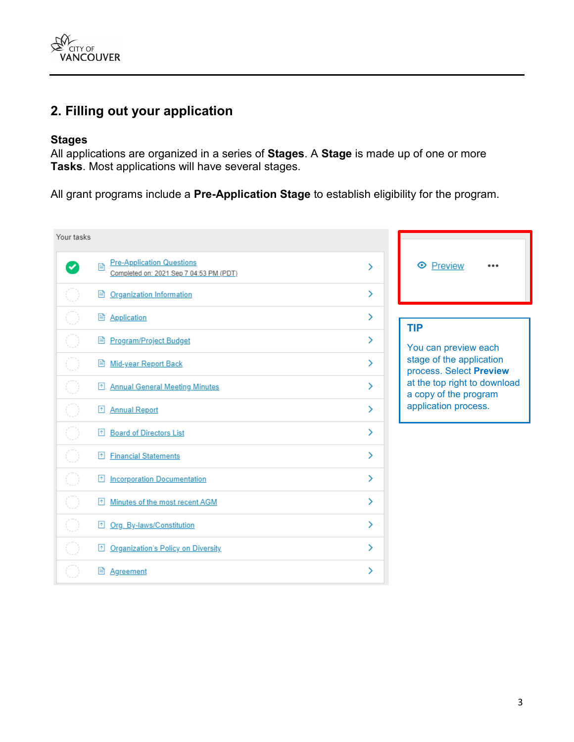

# **2. Filling out your application**

#### **Stages**

All applications are organized in a series of **Stages**. A **Stage** is made up of one or more **Tasks**. Most applications will have several stages.

All grant programs include a **Pre-Application Stage** to establish eligibility for the program.

| Your tasks |                                                                                  |               |                                                       |
|------------|----------------------------------------------------------------------------------|---------------|-------------------------------------------------------|
|            | <b>Pre-Application Questions</b><br>目<br>Completed on: 2021 Sep 7 04:53 PM (PDT) | ⋋             | ← Preview                                             |
|            | <b>B</b> Organization Information                                                | ⋋             |                                                       |
|            | <b>B</b> Application                                                             | ≻             | <b>TIP</b>                                            |
|            | <b>B</b> Program/Project Budget                                                  | ⋋             | You can preview each                                  |
|            | Mid-year Report Back                                                             | ⋟             | stage of the application<br>process. Select Preview   |
|            | <b>Annual General Meeting Minutes</b><br>$\boxed{\uparrow}$                      | $\rightarrow$ | at the top right to download<br>a copy of the program |
|            | Annual Report                                                                    | ≻             | application process.                                  |
|            | <b>Board of Directors List</b><br>囨                                              | ≻             |                                                       |
|            | <b>Financial Statements</b><br>$\uparrow$                                        | ≻             |                                                       |
|            | <b>Incorporation Documentation</b><br>$\uparrow$                                 | ⋋             |                                                       |
|            | Minutes of the most recent AGM<br>l٠Ι                                            | ⋋             |                                                       |
|            | Org. By-laws/Constitution<br>$\uparrow$                                          | ⋋             |                                                       |
|            | <b>Organization's Policy on Diversity</b><br>$\uparrow$                          | ≻             |                                                       |
|            | P.<br>Agreement                                                                  | ⋋             |                                                       |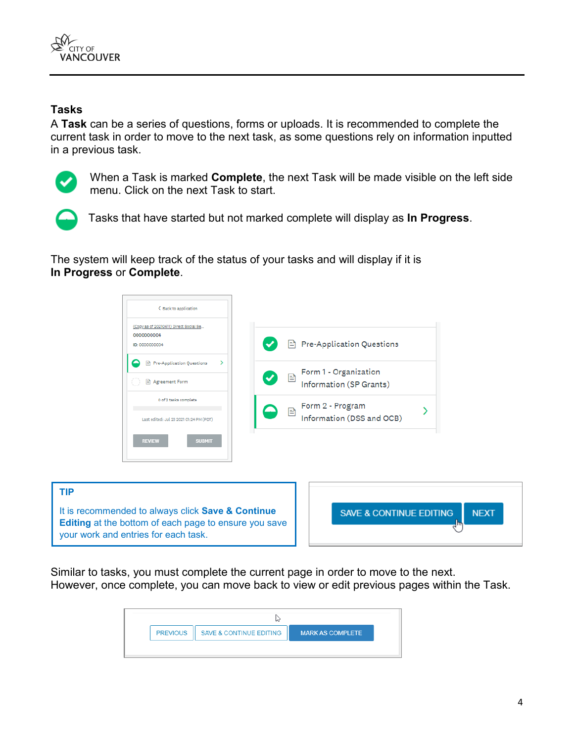

#### **Tasks**

A **Task** can be a series of questions, forms or uploads. It is recommended to complete the current task in order to move to the next task, as some questions rely on information inputted in a previous task.



When a Task is marked **Complete**, the next Task will be made visible on the left side menu. Click on the next Task to start.



**TIP**

your work and entries for each task.

Tasks that have started but not marked complete will display as **In Progress**.

The system will keep track of the status of your tasks and will display if it is **In Progress** or **Complete**.



Similar to tasks, you must complete the current page in order to move to the next. However, once complete, you can move back to view or edit previous pages within the Task.

| <b>PREVIOUS</b> | Ш | <b>SAVE &amp; CONTINUE EDITING</b> | <b>MARK AS COMPLETE</b> |  |
|-----------------|---|------------------------------------|-------------------------|--|
|                 |   |                                    |                         |  |

**NEXT**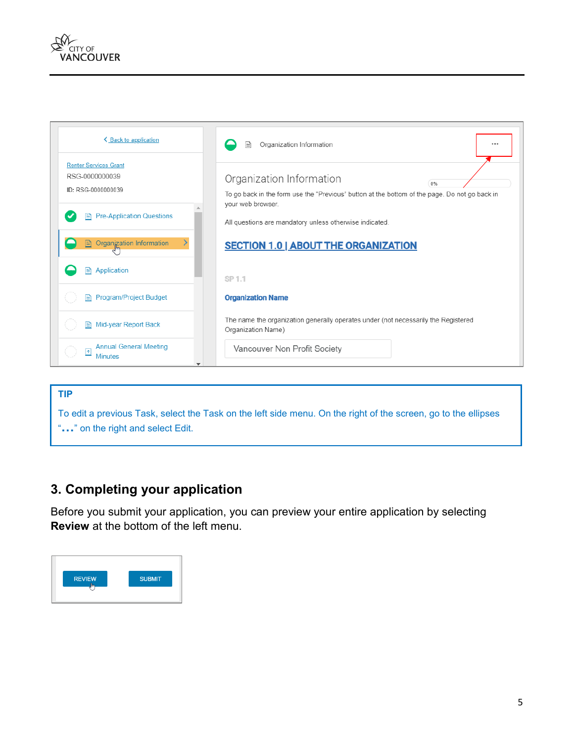



# **TIP** To edit a previous Task, select the Task on the left side menu. On the right of the screen, go to the ellipses "**…**" on the right and select Edit.

## **3. Completing your application**

Before you submit your application, you can preview your entire application by selecting **Review** at the bottom of the left menu.